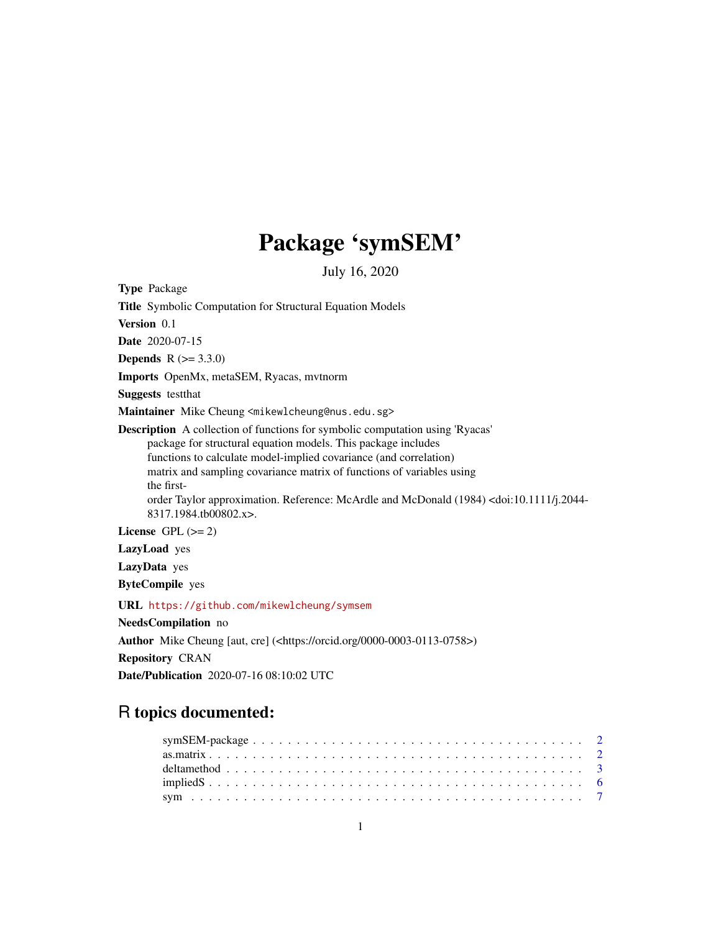## Package 'symSEM'

July 16, 2020

<span id="page-0-0"></span>Type Package

Title Symbolic Computation for Structural Equation Models

Version 0.1

Date 2020-07-15

**Depends**  $R (= 3.3.0)$ 

Imports OpenMx, metaSEM, Ryacas, mvtnorm

Suggests testthat

Maintainer Mike Cheung <mikewlcheung@nus.edu.sg>

Description A collection of functions for symbolic computation using 'Ryacas' package for structural equation models. This package includes functions to calculate model-implied covariance (and correlation) matrix and sampling covariance matrix of functions of variables using the firstorder Taylor approximation. Reference: McArdle and McDonald (1984) <doi:10.1111/j.2044- 8317.1984.tb00802.x>.

License GPL  $(>= 2)$ 

LazyLoad yes

LazyData yes

ByteCompile yes

URL <https://github.com/mikewlcheung/symsem>

NeedsCompilation no

Author Mike Cheung [aut, cre] (<https://orcid.org/0000-0003-0113-0758>)

Repository CRAN

Date/Publication 2020-07-16 08:10:02 UTC

### R topics documented: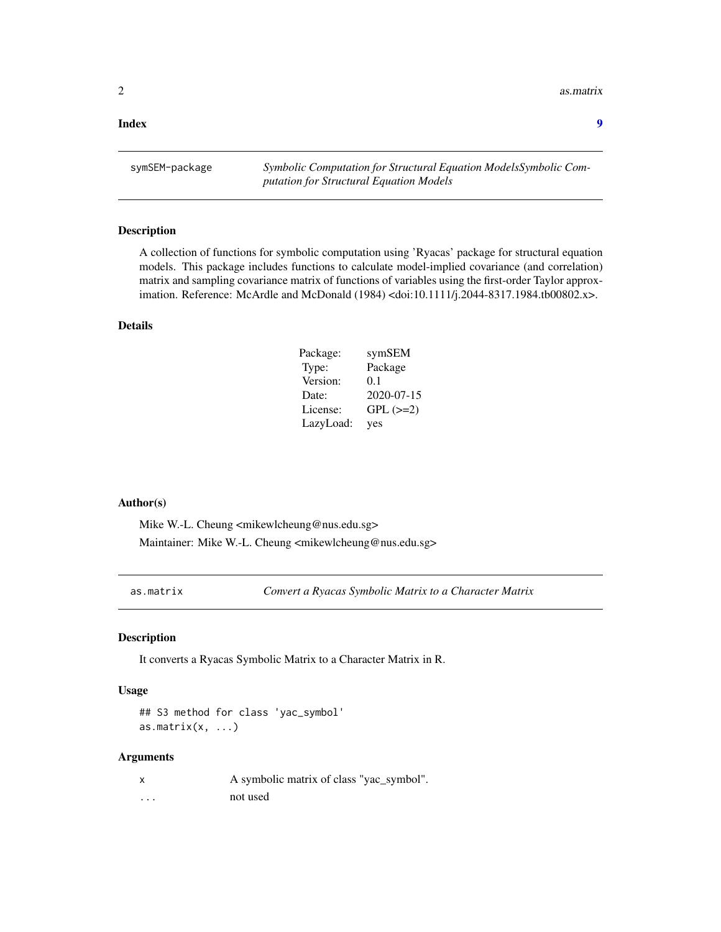<span id="page-1-0"></span>2 as. matrix

#### **Index** [9](#page-8-0)

symSEM-package *Symbolic Computation for Structural Equation ModelsSymbolic Computation for Structural Equation Models*

#### Description

A collection of functions for symbolic computation using 'Ryacas' package for structural equation models. This package includes functions to calculate model-implied covariance (and correlation) matrix and sampling covariance matrix of functions of variables using the first-order Taylor approximation. Reference: McArdle and McDonald (1984) <doi:10.1111/j.2044-8317.1984.tb00802.x>.

#### Details

| Package:  | symSEM        |
|-----------|---------------|
| Type:     | Package       |
| Version:  | 0.1           |
| Date:     | 2020-07-15    |
| License:  | $GPL$ $(>=2)$ |
| LazyLoad: | yes           |

#### Author(s)

Mike W.-L. Cheung <mikewlcheung@nus.edu.sg> Maintainer: Mike W.-L. Cheung <mikewlcheung@nus.edu.sg>

<span id="page-1-1"></span>as.matrix *Convert a Ryacas Symbolic Matrix to a Character Matrix*

#### Description

It converts a Ryacas Symbolic Matrix to a Character Matrix in R.

#### Usage

## S3 method for class 'yac\_symbol' as.matrix $(x, \ldots)$ 

#### Arguments

|          | A symbolic matrix of class "yac_symbol". |
|----------|------------------------------------------|
| $\cdots$ | not used                                 |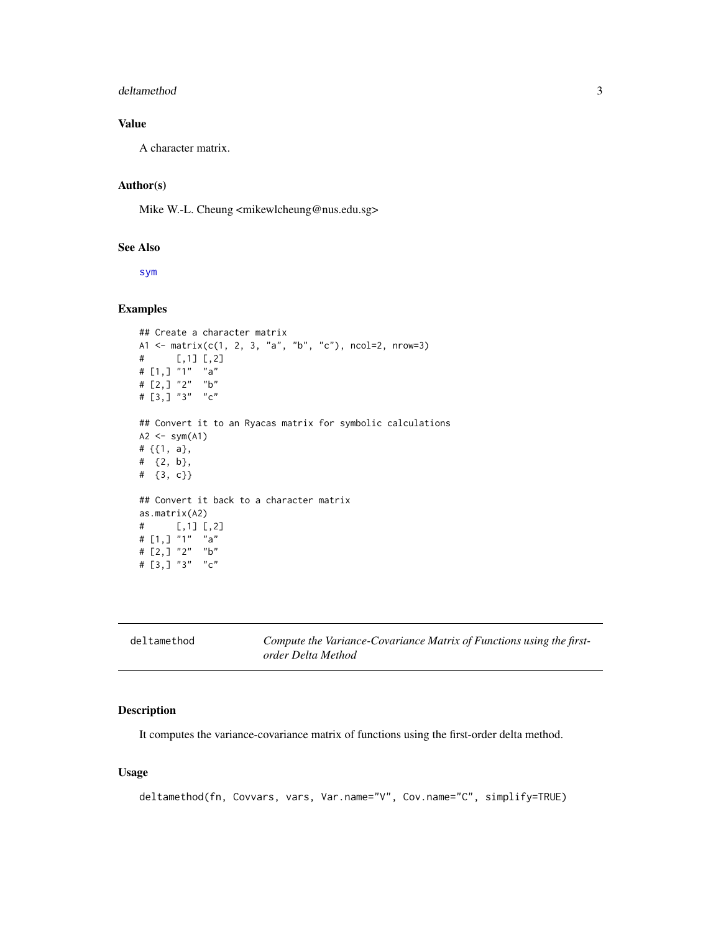#### <span id="page-2-0"></span>deltamethod 3

#### Value

A character matrix.

#### Author(s)

Mike W.-L. Cheung <mikewlcheung@nus.edu.sg>

#### See Also

[sym](#page-6-1)

#### Examples

```
## Create a character matrix
A1 <- matrix(c(1, 2, 3, "a", "b", "c"), ncol=2, nrow=3)
# [,1] [,2]
# [1,] "1" "a"
# [2,] "2" "b"
# [3,] "3" "c"
## Convert it to an Ryacas matrix for symbolic calculations
A2 \leq -sym(A1)# {{1, a},
# {2, b},
# {3, c}}
## Convert it back to a character matrix
as.matrix(A2)
# [,1] [,2]
# [1,] "1" "a"
# [2,] "2" "b"
# \begin{bmatrix} 3 \\ 3 \end{bmatrix} "3" "c"
```

| deltamethod | Compute the Variance-Covariance Matrix of Functions using the first- |
|-------------|----------------------------------------------------------------------|
|             | order Delta Method                                                   |

#### Description

It computes the variance-covariance matrix of functions using the first-order delta method.

#### Usage

```
deltamethod(fn, Covvars, vars, Var.name="V", Cov.name="C", simplify=TRUE)
```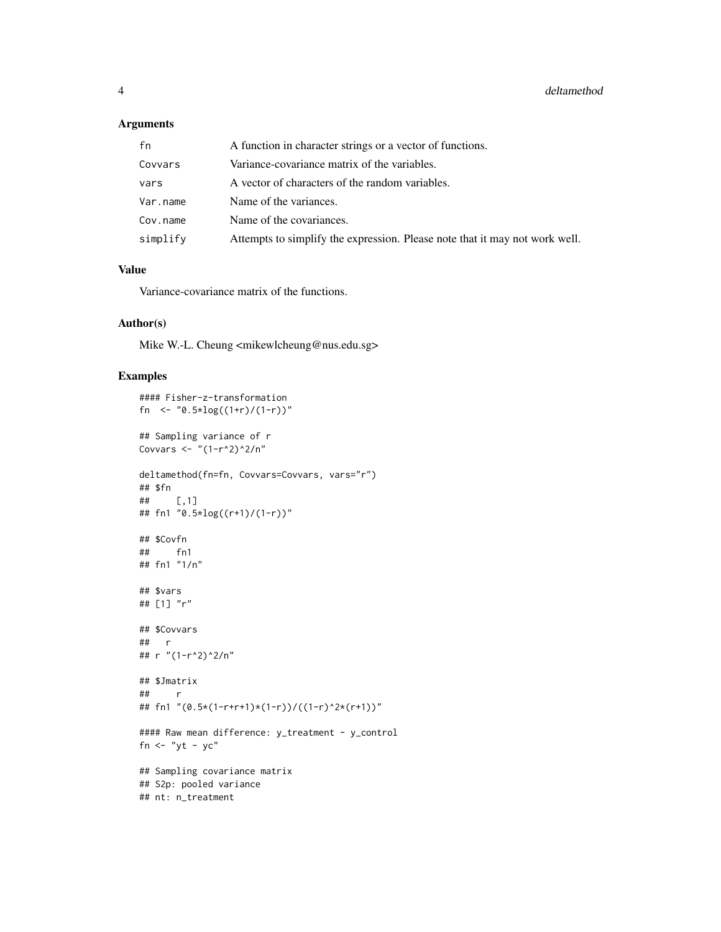#### Arguments

| fn       | A function in character strings or a vector of functions.                   |
|----------|-----------------------------------------------------------------------------|
| Covvars  | Variance-covariance matrix of the variables.                                |
| vars     | A vector of characters of the random variables.                             |
| Var.name | Name of the variances.                                                      |
| Cov.name | Name of the covariances.                                                    |
| simplify | Attempts to simplify the expression. Please note that it may not work well. |

#### Value

Variance-covariance matrix of the functions.

#### Author(s)

Mike W.-L. Cheung <mikewlcheung@nus.edu.sg>

#### Examples

```
#### Fisher-z-transformation
fn <- "\theta.\frac{5*log((1+r)/(1-r))"}{?}## Sampling variance of r
Covvars <- "(1-r^2)^2/n"
deltamethod(fn=fn, Covvars=Covvars, vars="r")
## $fn
## [,1]
## fn1 "0.5*log((r+1)/(1-r))"
## $Covfn
## fn1
## fn1 "1/n"
## $vars
## [1] "r"
## $Covvars
## r
## r "(1-r^2)^2/n"
## $Jmatrix
## r
## fn1 "(0.5*(1-r+r+1)*(1-r))/((1-r)^2*(r+1))"
#### Raw mean difference: y_treatment - y_control
fn \leftarrow "yt - yc"
## Sampling covariance matrix
## S2p: pooled variance
## nt: n_treatment
```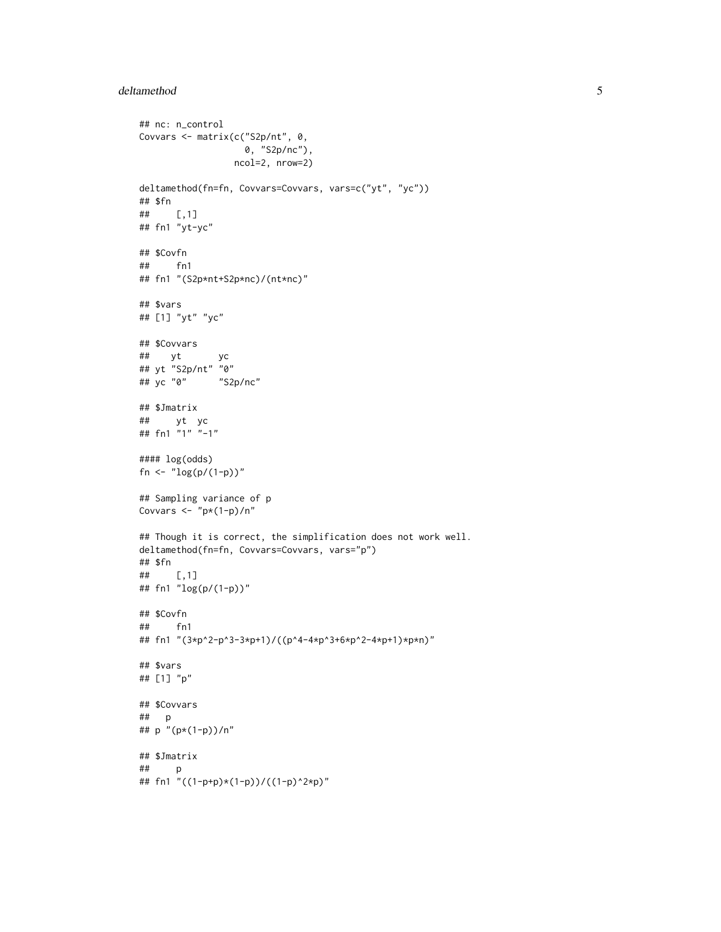#### deltamethod 5

```
## nc: n_control
Covvars <- matrix(c("S2p/nt", 0,
                   0, "S2p/nc"),
                 ncol=2, nrow=2)
deltamethod(fn=fn, Covvars=Covvars, vars=c("yt", "yc"))
## $fn
## [,1]
## fn1 "yt-yc"
## $Covfn
## fn1
## fn1 "(S2p*nt+S2p*nc)/(nt*nc)"
## $vars
## [1] "yt" "yc"
## $Covvars
## yt yc
## yt "S2p/nt" "0"
## yc "0" "S2p/nc"
## $Jmatrix
## yt yc
## fn1 "1" "-1"
#### log(odds)
fn <- "log(p/(1-p))"## Sampling variance of p
Covvars \langle - "p*(1-p)/n"
## Though it is correct, the simplification does not work well.
deltamethod(fn=fn, Covvars=Covvars, vars="p")
## $fn
## [,1]
## fn1 "log(p/(1-p))"
## $Covfn
## fn1
## fn1 "(3*p^2-p^3-3*p+1)/((p^4-4*p^3+6*p^2-4*p+1)*p*n)"
## $vars
## [1] "p"
## $Covvars
## p
## p "(p*(1-p))/n"
## $Jmatrix
## p
## fn1 "((1-p+p)*(1-p))/((1-p)^2*p)"
```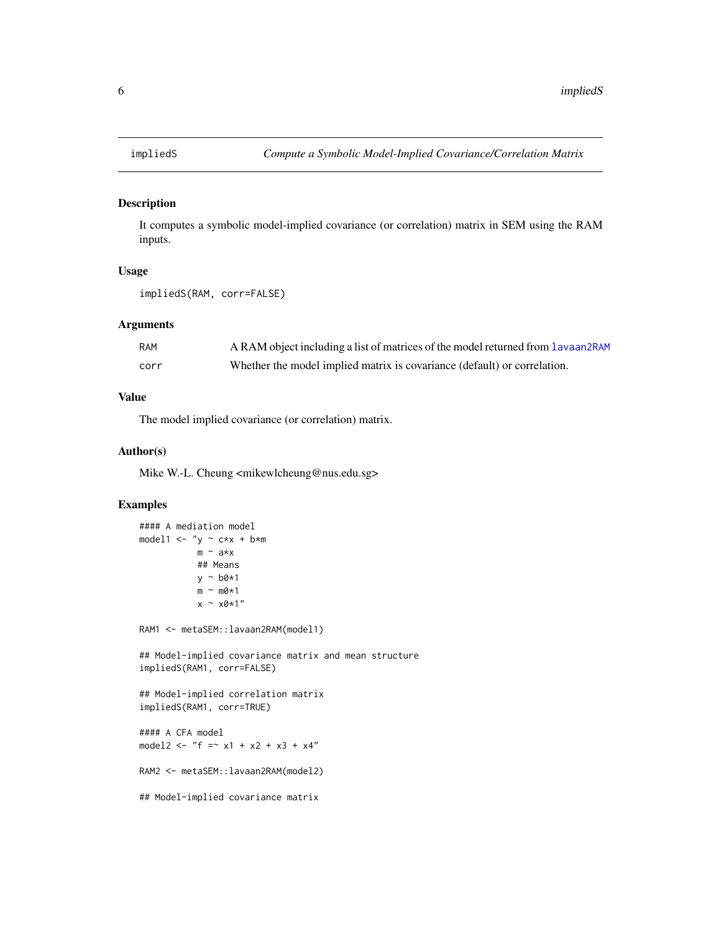<span id="page-5-0"></span>

#### Description

It computes a symbolic model-implied covariance (or correlation) matrix in SEM using the RAM inputs.

#### Usage

```
impliedS(RAM, corr=FALSE)
```
#### Arguments

| RAM  | A RAM object including a list of matrices of the model returned from Lavaan2RAM |
|------|---------------------------------------------------------------------------------|
| corr | Whether the model implied matrix is covariance (default) or correlation.        |

#### Value

The model implied covariance (or correlation) matrix.

#### Author(s)

Mike W.-L. Cheung <mikewlcheung@nus.edu.sg>

#### Examples

```
#### A mediation model
model1 \leftarrow "y \sim c*x + b*m
           m \sim a \star x## Means
            y ~ b0*1
           m \sim m\omega*1x \sim x0*1"
RAM1 <- metaSEM::lavaan2RAM(model1)
## Model-implied covariance matrix and mean structure
impliedS(RAM1, corr=FALSE)
## Model-implied correlation matrix
impliedS(RAM1, corr=TRUE)
#### A CFA model
model2 <- "f = x1 + x2 + x3 + x4"
RAM2 <- metaSEM::lavaan2RAM(model2)
## Model-implied covariance matrix
```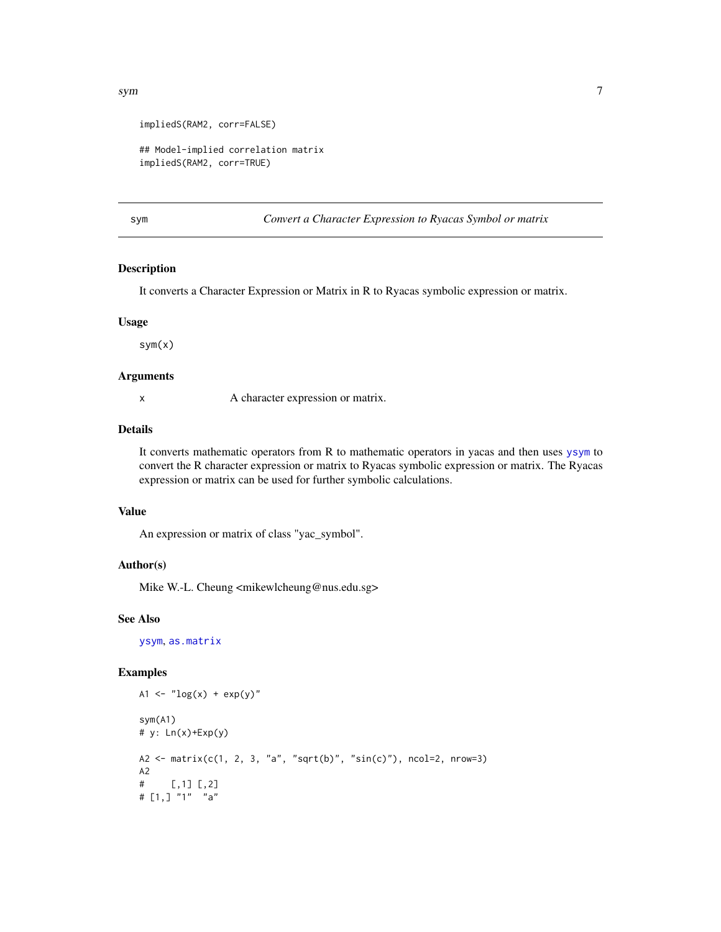```
impliedS(RAM2, corr=FALSE)
```

```
## Model-implied correlation matrix
impliedS(RAM2, corr=TRUE)
```
<span id="page-6-1"></span>sym *Convert a Character Expression to Ryacas Symbol or matrix*

#### Description

It converts a Character Expression or Matrix in R to Ryacas symbolic expression or matrix.

#### Usage

sym(x)

#### Arguments

x A character expression or matrix.

#### Details

It converts mathematic operators from R to mathematic operators in yacas and then uses [ysym](#page-0-0) to convert the R character expression or matrix to Ryacas symbolic expression or matrix. The Ryacas expression or matrix can be used for further symbolic calculations.

#### Value

An expression or matrix of class "yac\_symbol".

#### Author(s)

Mike W.-L. Cheung <mikewlcheung@nus.edu.sg>

#### See Also

[ysym](#page-0-0), [as.matrix](#page-1-1)

#### Examples

```
A1 <- "log(x) + exp(y)"sym(A1)
# y: Ln(x)+Exp(y)
A2 <- matrix(c(1, 2, 3, "a", "sqrt(b)", "sin(c)"), ncol=2, nrow=3)
A2
# [,1] [,2]
# [1,] "1" "a"
```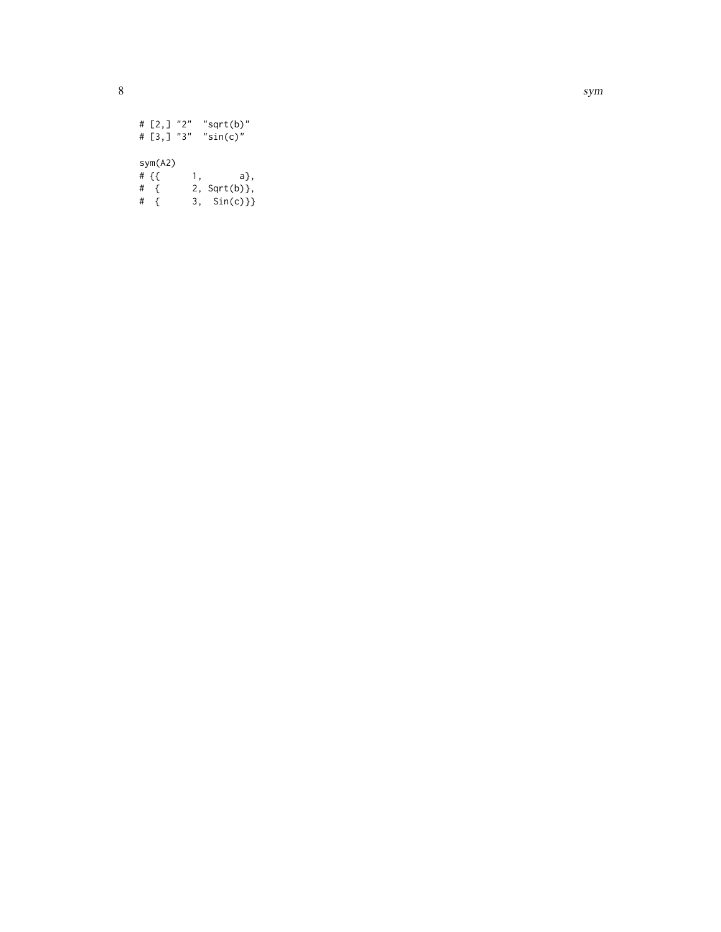# [2,] "2" "sqrt(b)" # [3,] "3" "sin(c)" sym(A2)  $# {$  { {  $1,$  a}, # { 2, Sqrt(b)}, # { 3, Sin(c)}}